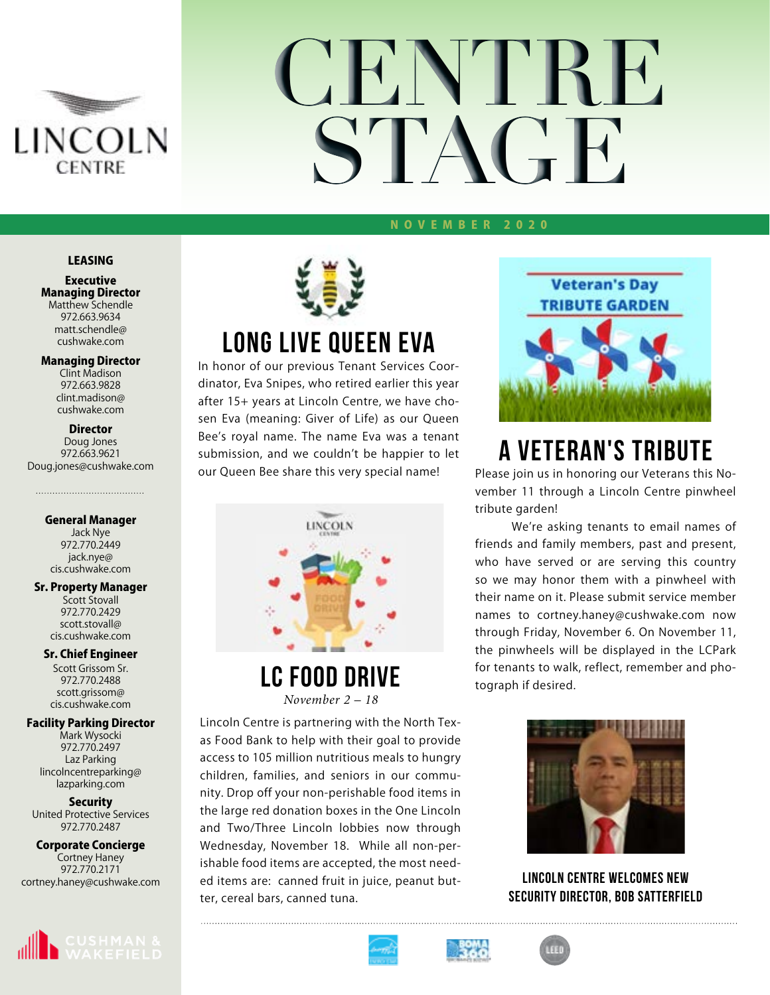

# **CENTRE STAGE**

#### NOVEMBER 2020

### LEASING

htt

Executive Managing Director Matthew Schendle 972.663.9634 matt.schendle@ cushwake.com

#### Managing Director

Clint Madison 972.663.9828 clint.madison@ cushwake.com

#### **Director**

Doug Jones 972.663.9621 Doug.jones@cushwake.com

#### General Manager

Jack Nye 972.770.2449 jack.nye@ cis.cushwake.com

#### Sr. Property Manager

Scott Stovall 972.770.2429 scott.stovall@ cis.cushwake.com

#### Sr. Chief Engineer

Scott Grissom Sr. 972.770.2488 scott.grissom@ cis.cushwake.com

#### Facility Parking Director

Mark Wysocki 972.770.2497 Laz Parking lincolncentreparking@ lazparking.com

#### **Security**

United Protective Services 972.770.2487

### Corporate Concierge Cortney Haney

972.770.2171 cortney.haney@cushwake.com





### **LONG LIVE QUEEN EVA**

In honor of our previous Tenant Services Coordinator, Eva Snipes, who retired earlier this year after 15+ years at Lincoln Centre, we have chosen Eva (meaning: Giver of Life) as our Queen Bee's royal name. The name Eva was a tenant submission, and we couldn't be happier to let our Queen Bee share this very special name!



**LC Food Drive** *November 2 – 18*

Lincoln Centre is partnering with the North Texas Food Bank to help with their goal to provide access to 105 million nutritious meals to hungry children, families, and seniors in our community. Drop off your non-perishable food items in the large red donation boxes in the One Lincoln and Two/Three Lincoln lobbies now through Wednesday, November 18. While all non-perishable food items are accepted, the most needed items are: canned fruit in juice, peanut butter, cereal bars, canned tuna.



### **A VETERAN'S TRIBUTE**

Please join us in honoring our Veterans this November 11 through a Lincoln Centre pinwheel tribute garden!

We're asking tenants to email names of friends and family members, past and present, who have served or are serving this country so we may honor them with a pinwheel with their name on it. Please submit service member names to cortney.haney@cushwake.com now through Friday, November 6. On November 11, the pinwheels will be displayed in the LCPark for tenants to walk, reflect, remember and photograph if desired.



**Lincoln Centre welcomes new Security Director, Bob Satterfield**





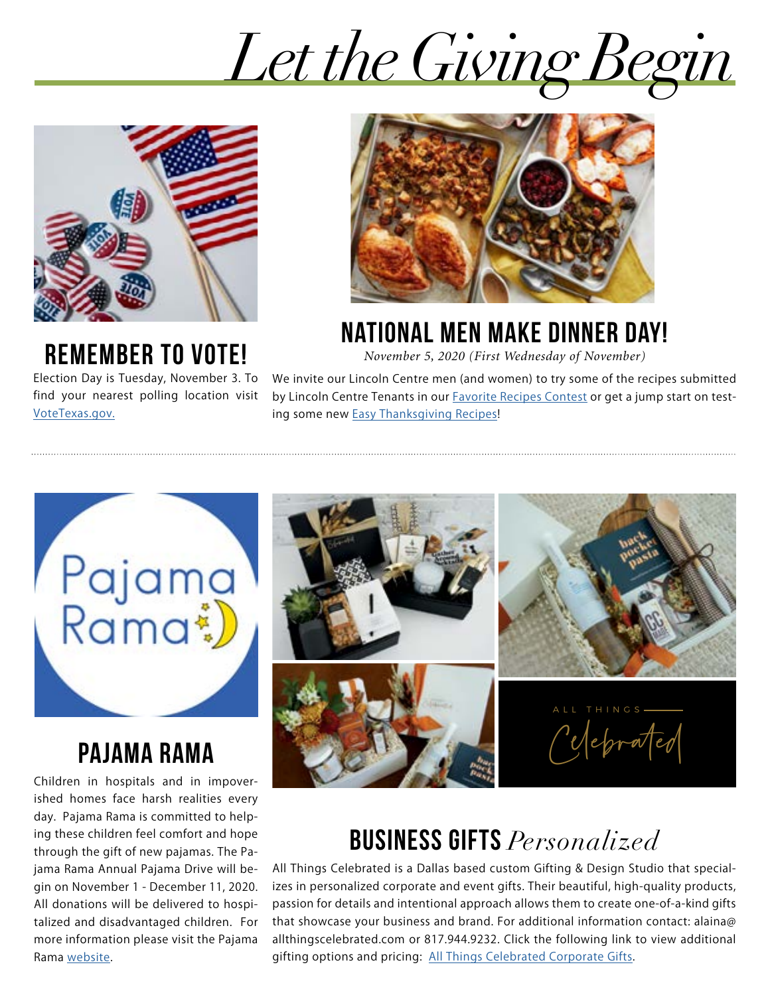*Let the Giving Begin*



### **REMEMBER TO VOTE!**

Election Day is Tuesday, November 3. To find your nearest polling location visit [VoteTexas.gov.](http://VoteTexas.gov)



### **National Men Make Dinner Day!**

*November 5, 2020 (First Wednesday of November)*

We invite our Lincoln Centre men (and women) to try some of the recipes submitted by Lincoln Centre Tenants in our [Favorite Recipes Contest](https://drive.google.com/file/d/1tQcpsY1rxSwZcq3C-EJsTqcK1ODymQyA/view?usp=sharing) or get a jump start on testing some new [Easy Thanksgiving Recipes!](https://www.foodnetwork.com/thanksgiving/easy-thanksgiving-recipes)



### **pajama rama**

Children in hospitals and in impoverished homes face harsh realities every day. Pajama Rama is committed to helping these children feel comfort and hope through the gift of new pajamas. The Pajama Rama Annual Pajama Drive will begin on November 1 - December 11, 2020. All donations will be delivered to hospitalized and disadvantaged children. For more information please visit the Pajama Rama [website.](https://www.pajama-rama.org/pajama-drive)



### **Business GIFTs** *Personalized*

All Things Celebrated is a Dallas based custom Gifting & Design Studio that specializes in personalized corporate and event gifts. Their beautiful, high-quality products, passion for details and intentional approach allows them to create one-of-a-kind gifts that showcase your business and brand. For additional information contact: alaina@ allthingscelebrated.com or 817.944.9232. Click the following link to view additional gifting options and pricing: [All Things Celebrated Corporate Gifts](https://drive.google.com/drive/folders/1gzL2aGNAnzELUil3FMzftJedR9kwUOqT).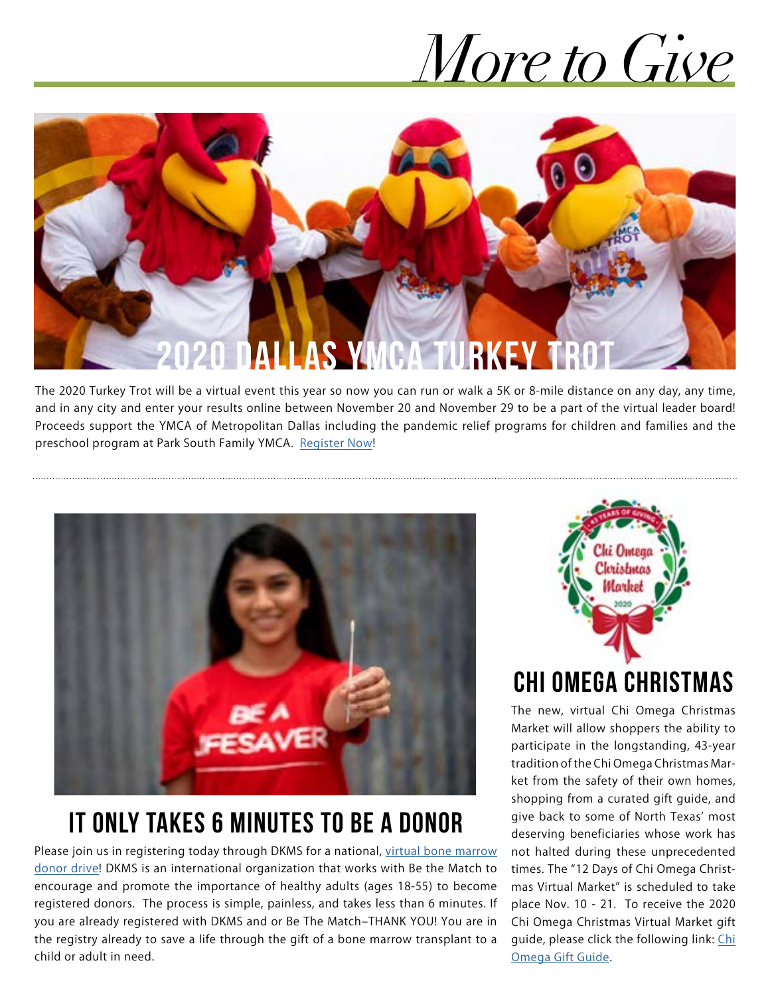## *More to Give*



The 2020 Turkey Trot will be a virtual event this year so now you can run or walk a 5K or 8-mile distance on any day, any time, and in any city and enter your results online between November 20 and November 29 to be a part of the virtual leader board! Proceeds support the YMCA of Metropolitan Dallas including the pandemic relief programs for children and families and the preschool program at Park South Family YMCA. [Register Now](https://endurancecui.active.com/new/events/72148653/select-race?e4p=4af96969-9898-4084-b986-ae912c9585a8&e4ts=1602693861&e4q=874a713e-3314-4e0d-af16-b09f24944787&e4c=active&e4e=snawe00000000&e4h=4809c0ebd19eff3230bae481453cebc4&e4rt=Safetynet&_p=026853529123444853)!



### **it ONLY takes 6 MINUTES to Be a donor**

Please join us in registering today through DKMS for a national, [virtual bone marrow](https://www.dkms.org/en/register?source=Paid_Search&utm_source=google&utm_medium=cpc&utm_campaign=branded&gclid=Cj0KCQjwreT8BRDTARIsAJLI0KIaggDfWhqo8UmSf7utdWda4AtzQO9QjtYmOz5Che8P-8Bi3voh-NEaAso4EALw_wcB) [donor drive!](https://www.dkms.org/en/register?source=Paid_Search&utm_source=google&utm_medium=cpc&utm_campaign=branded&gclid=Cj0KCQjwreT8BRDTARIsAJLI0KIaggDfWhqo8UmSf7utdWda4AtzQO9QjtYmOz5Che8P-8Bi3voh-NEaAso4EALw_wcB) DKMS is an international organization that works with Be the Match to encourage and promote the importance of healthy adults (ages 18-55) to become registered donors. The process is simple, painless, and takes less than 6 minutes. If you are already registered with DKMS and or Be The Match–THANK YOU! You are in the registry already to save a life through the gift of a bone marrow transplant to a child or adult in need.



### **Chi omega christmas**

The new, virtual Chi Omega Christmas Market will allow shoppers the ability to participate in the longstanding, 43-year tradition of the Chi Omega Christmas Market from the safety of their own homes, shopping from a curated gift guide, and give back to some of North Texas' most deserving beneficiaries whose work has not halted during these unprecedented times. The "12 Days of Chi Omega Christmas Virtual Market" is scheduled to take place Nov. 10 - 21. To receive the 2020 Chi Omega Christmas Virtual Market gift guide, please click the following link: [Chi](http://www.chiomegaxmas.org/page.cfm?Page=CONTACTUS) [Omega Gift Guide.](http://www.chiomegaxmas.org/page.cfm?Page=CONTACTUS)